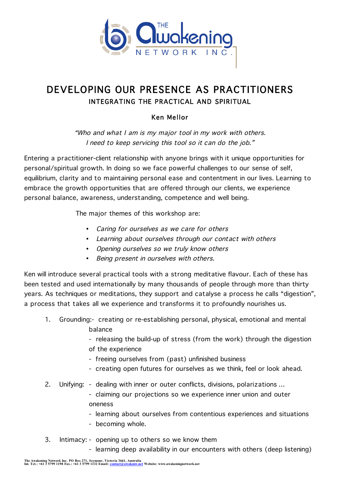

## DEVELOPING OUR PRESENCE AS PRACTITIONERS INTEGRATING THE PRACTICAL AND SPIRITUAL

## Ken Mellor

"Who and what I am is my major tool in my work with others. I need to keep servicing this tool so it can do the job."

Entering a practitioner-client relationship with anyone brings with it unique opportunities for personal/spiritual growth. In doing so we face powerful challenges to our sense of self, equilibrium, clarity and to maintaining personal ease and contentment in our lives. Learning to embrace the growth opportunities that are offered through our clients, we experience personal balance, awareness, understanding, competence and well being.

The major themes of this workshop are:

- Caring for ourselves as we care for others
- Learning about ourselves through our contact with others
- Opening ourselves so we truly know others
- Being present in ourselves with others.

Ken will introduce several practical tools with a strong meditative flavour. Each of these has been tested and used internationally by many thousands of people through more than thirty years. As techniques or meditations, they support and catalyse a process he calls "digestion", a process that takes all we experience and transforms it to profoundly nourishes us.

1. Grounding:- creating or re-establishing personal, physical, emotional and mental balance

> - releasing the build-up of stress (from the work) through the digestion of the experience

- freeing ourselves from (past) unfinished business
- creating open futures for ourselves as we think, feel or look ahead.
- 2. Unifying: dealing with inner or outer conflicts, divisions, polarizations …

- claiming our projections so we experience inner union and outer oneness

- learning about ourselves from contentious experiences and situations
- becoming whole.
- 3. Intimacy: opening up to others so we know them
	- learning deep availability in our encounters with others (deep listening)